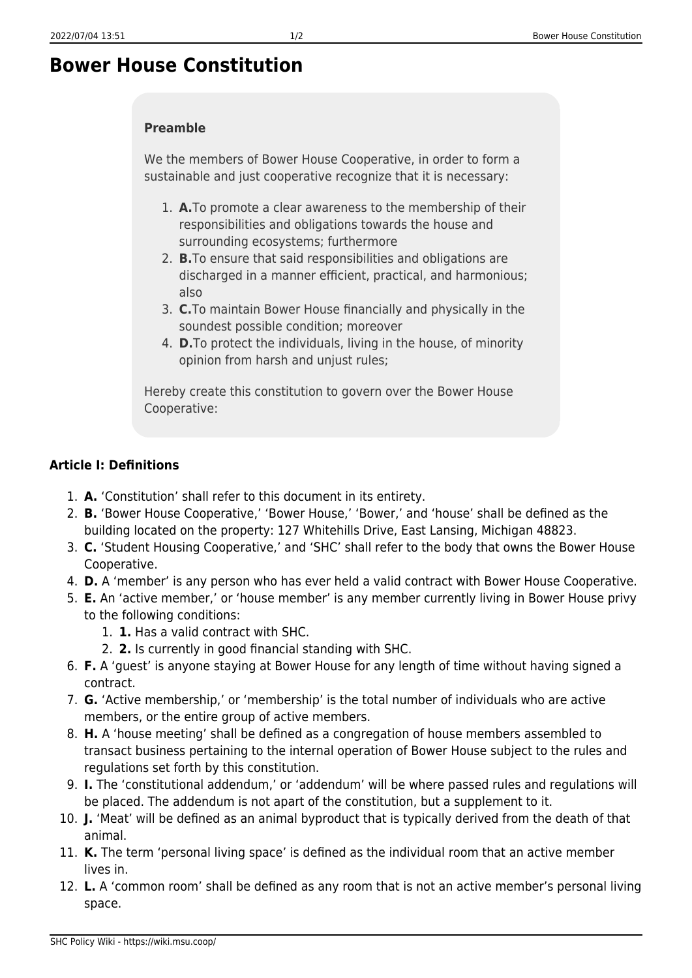## **Bower House Constitution**

## **Preamble**

We the members of Bower House Cooperative, in order to form a sustainable and just cooperative recognize that it is necessary:

- 1. **A.**To promote a clear awareness to the membership of their responsibilities and obligations towards the house and surrounding ecosystems; furthermore
- 2. **B.**To ensure that said responsibilities and obligations are discharged in a manner efficient, practical, and harmonious; also
- 3. **C.**To maintain Bower House financially and physically in the soundest possible condition; moreover
- 4. **D.**To protect the individuals, living in the house, of minority opinion from harsh and unjust rules;

Hereby create this constitution to govern over the Bower House Cooperative:

## **Article I: Definitions**

- 1. **A.** 'Constitution' shall refer to this document in its entirety.
- 2. **B.** 'Bower House Cooperative,' 'Bower House,' 'Bower,' and 'house' shall be defined as the building located on the property: 127 Whitehills Drive, East Lansing, Michigan 48823.
- 3. **C.** 'Student Housing Cooperative,' and 'SHC' shall refer to the body that owns the Bower House Cooperative.
- 4. **D.** A 'member' is any person who has ever held a valid contract with Bower House Cooperative.
- 5. **E.** An 'active member,' or 'house member' is any member currently living in Bower House privy to the following conditions:
	- 1. **1.** Has a valid contract with SHC.
	- 2. **2.** Is currently in good financial standing with SHC.
- 6. **F.** A 'guest' is anyone staying at Bower House for any length of time without having signed a contract.
- 7. **G.** 'Active membership,' or 'membership' is the total number of individuals who are active members, or the entire group of active members.
- 8. **H.** A 'house meeting' shall be defined as a congregation of house members assembled to transact business pertaining to the internal operation of Bower House subject to the rules and regulations set forth by this constitution.
- 9. **I.** The 'constitutional addendum,' or 'addendum' will be where passed rules and regulations will be placed. The addendum is not apart of the constitution, but a supplement to it.
- 10. **J.** 'Meat' will be defined as an animal byproduct that is typically derived from the death of that animal.
- 11. **K.** The term 'personal living space' is defined as the individual room that an active member lives in.
- 12. **L.** A 'common room' shall be defined as any room that is not an active member's personal living space.